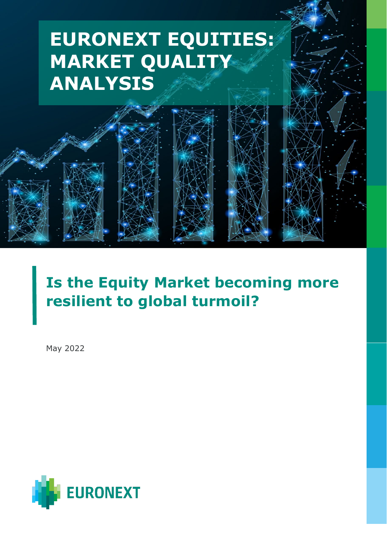# **EURONEXT EQUITIES: MARKET QUALITY ANALYSIS**

EUROPE **EUROPE** 

**PLAYBOOK** 

## **Is the Equity Market becoming more resilient to global turmoil?**

May 2022

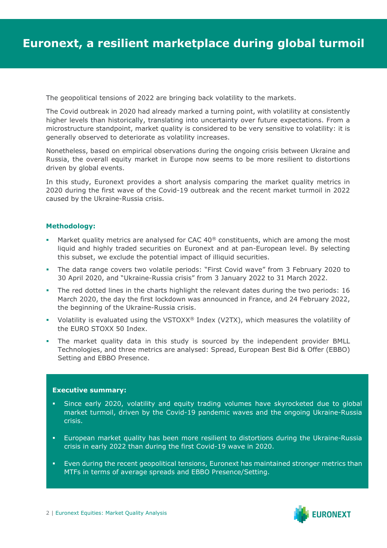The geopolitical tensions of 2022 are bringing back volatility to the markets.

The Covid outbreak in 2020 had already marked a turning point, with volatility at consistently higher levels than historically, translating into uncertainty over future expectations. From a microstructure standpoint, market quality is considered to be very sensitive to volatility: it is generally observed to deteriorate as volatility increases.

Nonetheless, based on empirical observations during the ongoing crisis between Ukraine and Russia, the overall equity market in Europe now seems to be more resilient to distortions driven by global events.

In this study, Euronext provides a short analysis comparing the market quality metrics in 2020 during the first wave of the Covid-19 outbreak and the recent market turmoil in 2022 caused by the Ukraine-Russia crisis.

#### **Methodology:**

- Market quality metrics are analysed for CAC 40 $\textdegree$  constituents, which are among the most liquid and highly traded securities on Euronext and at pan-European level. By selecting this subset, we exclude the potential impact of illiquid securities.
- The data range covers two volatile periods: "First Covid wave" from 3 February 2020 to 30 April 2020, and "Ukraine-Russia crisis" from 3 January 2022 to 31 March 2022.
- The red dotted lines in the charts highlight the relevant dates during the two periods: 16 March 2020, the day the first lockdown was announced in France, and 24 February 2022, the beginning of the Ukraine-Russia crisis.
- Volatility is evaluated using the VSTOXX® Index (V2TX), which measures the volatility of the EURO STOXX 50 Index.
- The market quality data in this study is sourced by the independent provider BMLL Technologies, and three metrics are analysed: Spread, European Best Bid & Offer (EBBO) Setting and EBBO Presence.

#### **Executive summary:**

- Since early 2020, volatility and equity trading volumes have skyrocketed due to global market turmoil, driven by the Covid-19 pandemic waves and the ongoing Ukraine-Russia crisis.
- European market quality has been more resilient to distortions during the Ukraine-Russia crisis in early 2022 than during the first Covid-19 wave in 2020.
- Even during the recent geopolitical tensions, Euronext has maintained stronger metrics than MTFs in terms of average spreads and EBBO Presence/Setting.

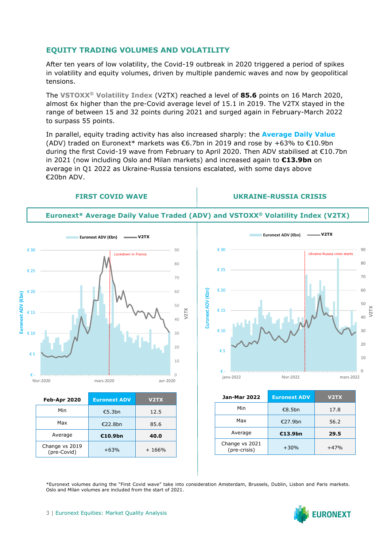### **EQUITY TRADING VOLUMES AND VOLATILITY**

After ten years of low volatility, the Covid-19 outbreak in 2020 triggered a period of spikes in volatility and equity volumes, driven by multiple pandemic waves and now by geopolitical tensions.

The **VSTOXX® Volatility Index** (V2TX) reached a level of **85.6** points on 16 March 2020, almost 6x higher than the pre-Covid average level of 15.1 in 2019. The V2TX stayed in the range of between 15 and 32 points during 2021 and surged again in February-March 2022 to surpass 55 points.

In parallel, equity trading activity has also increased sharply: the **Average Daily Value** (ADV) traded on Euronext\* markets was  $\epsilon$ 6.7bn in 2019 and rose by +63% to  $\epsilon$ 10.9bn during the first Covid-19 wave from February to April 2020. Then ADV stabilised at €10.7bn in 2021 (now including Oslo and Milan markets) and increased again to **€13.9bn** on average in Q1 2022 as Ukraine-Russia tensions escalated, with some days above €20bn ADV.

#### **FIRST COVID WAVE UKRAINE-RUSSIA CRISIS**





| <b>Feb-Apr 2020</b>           | <b>Euronext ADV</b> | V <sub>2</sub> TX |
|-------------------------------|---------------------|-------------------|
| Min                           | €5.3bn              | 12.5              |
| Max                           | €22.8bn             | 85.6              |
| Average                       | €10.9bn             | 40.0              |
| Change vs 2019<br>(pre-Covid) | $+63%$              | $+166%$           |



| <b>Jan-Mar 2022</b>            | <b>Euronext ADV</b> | V <sub>2</sub> TX |
|--------------------------------|---------------------|-------------------|
| Min                            | €8.5bn              | 17.8              |
| Max                            | €27.9bn             | 56.2              |
| Average                        | €13.9bn             | 29.5              |
| Change vs 2021<br>(pre-crisis) | $+30%$              | $+47%$            |

\*Euronext volumes during the "First Covid wave" take into consideration Amsterdam, Brussels, Dublin, Lisbon and Paris markets. Oslo and Milan volumes are included from the start of 2021.

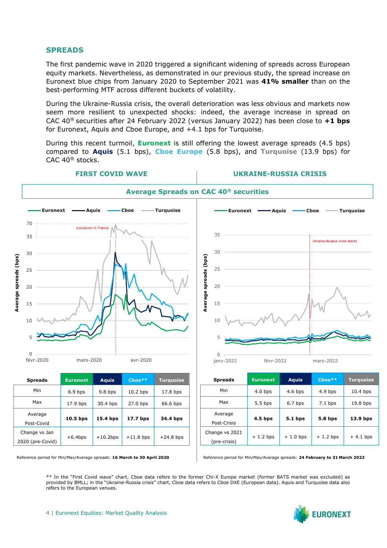#### **SPREADS**

The first pandemic wave in 2020 triggered a significant widening of spreads across European equity markets. Nevertheless, as demonstrated in our previous study, the spread increase on Euronext blue chips from January 2020 to September 2021 was **41% smaller** than on the best-performing MTF across different buckets of volatility.

During the Ukraine-Russia crisis, the overall deterioration was less obvious and markets now seem more resilient to unexpected shocks: indeed, the average increase in spread on CAC 40® securities after 24 February 2022 (versus January 2022) has been close to **+1 bps** for Euronext, Aquis and Cboe Europe, and +4.1 bps for Turquoise.

During this recent turmoil, **Euronext** is still offering the lowest average spreads (4.5 bps) compared to **Aquis** (5.1 bps), **Cboe Europe** (5.8 bps), and **Turquoise** (13.9 bps) for CAC 40® stocks.



| Average<br>$10.5$ bps<br>15.4 bps<br>17.7 bps<br>34.4 bps<br>Post-Covid<br>Change vs Jan<br>$+10.2$ bps<br>$+11.8$ bps<br>$+6.4$ bps<br>2020 (pre-Covid) | MAN | 17.9 bps | 30.4 bps | $27.0$ bps | 66.6 bps    |
|----------------------------------------------------------------------------------------------------------------------------------------------------------|-----|----------|----------|------------|-------------|
|                                                                                                                                                          |     |          |          |            |             |
|                                                                                                                                                          |     |          |          |            |             |
|                                                                                                                                                          |     |          |          |            | $+24.8$ bps |
|                                                                                                                                                          |     |          |          |            |             |



Reference period for Min/Max/Average spreads: **24 February to 31 March 2022**

\*\* In the "First Covid wave" chart, Cboe data refers to the former Chi-X Europe market (former BATS market was excluded) as provided by BMLL; in the "Ukraine-Russia crisis" chart, Cboe data refers to Cboe DXE (European data). Aquis and Turquoise data also refers to the European venues.

Post-Crisis

Change vs 2021 (pre-crisis)

**4.5 bps 5.1 bps 5.8 bps 13.9 bps**

 $+ 1.2$  bps  $+ 1.0$  bps  $+ 1.2$  bps  $+ 4.1$  bps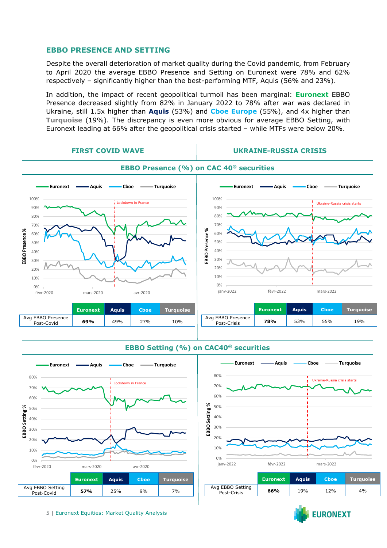#### **EBBO PRESENCE AND SETTING**

Despite the overall deterioration of market quality during the Covid pandemic, from February to April 2020 the average EBBO Presence and Setting on Euronext were 78% and 62% respectively – significantly higher than the best-performing MTF, Aquis (56% and 23%).

In addition, the impact of recent geopolitical turmoil has been marginal: **Euronext** EBBO Presence decreased slightly from 82% in January 2022 to 78% after war was declared in Ukraine, still 1.5x higher than **Aquis** (53%) and **Cboe Europe** (55%), and 4x higher than **Turquoise** (19%). The discrepancy is even more obvious for average EBBO Setting, with Euronext leading at 66% after the geopolitical crisis started – while MTFs were below 20%.





**EBBO Setting (%) on CAC40® securities**



|                                 | <b>Euronext</b> | <b>Aquis</b> | <b>Choe</b> | Turauoise |
|---------------------------------|-----------------|--------------|-------------|-----------|
| Avg EBBO Setting<br>Post-Crisis | 66%             | 19%          | 12%         | 4%        |

**EURONEXT** 

5 | Euronext Equities: Market Quality Analysis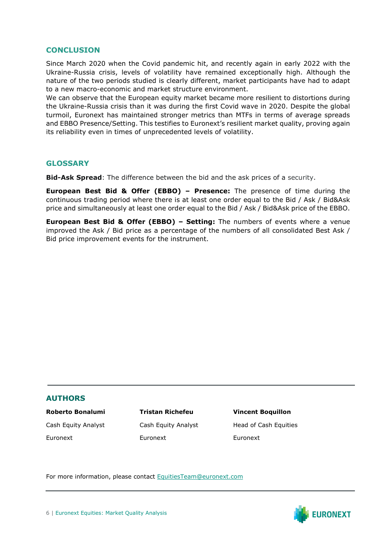### **CONCLUSION**

Since March 2020 when the Covid pandemic hit, and recently again in early 2022 with the Ukraine-Russia crisis, levels of volatility have remained exceptionally high. Although the nature of the two periods studied is clearly different, market participants have had to adapt to a new macro-economic and market structure environment.

We can observe that the European equity market became more resilient to distortions during the Ukraine-Russia crisis than it was during the first Covid wave in 2020. Despite the global turmoil, Euronext has maintained stronger metrics than MTFs in terms of average spreads and EBBO Presence/Setting. This testifies to Euronext's resilient market quality, proving again its reliability even in times of unprecedented levels of volatility.

#### **GLOSSARY**

**Bid-Ask Spread**: The difference between the bid and the ask prices of a security.

**European Best Bid & Offer (EBBO) – Presence:** The presence of time during the continuous trading period where there is at least one order equal to the Bid / Ask / Bid&Ask price and simultaneously at least one order equal to the Bid / Ask / Bid&Ask price of the EBBO.

**European Best Bid & Offer (EBBO) – Setting:** The numbers of events where a venue improved the Ask / Bid price as a percentage of the numbers of all consolidated Best Ask / Bid price improvement events for the instrument.

#### **AUTHORS**

#### **Roberto Bonalumi Tristan Richefeu Vincent Boquillon**

Euronext Euronext Euronext

Cash Equity Analyst Cash Equity Analyst Head of Cash Equities

For more information, please contact [EquitiesTeam@euronext.com](mailto:EquitiesTeam@euronext.com)